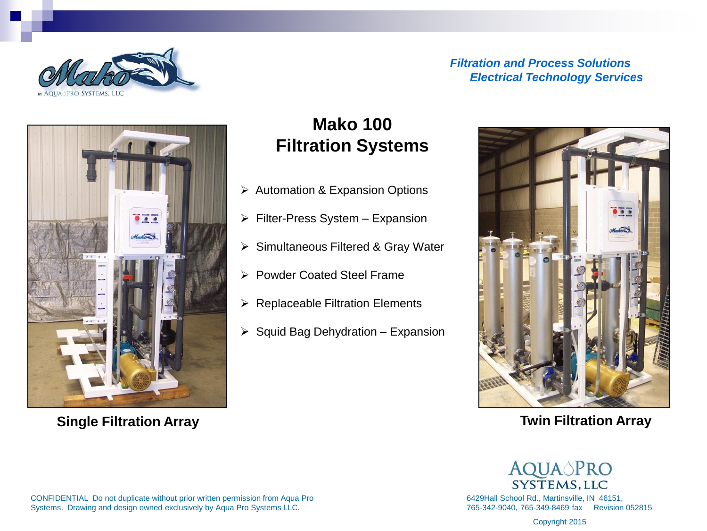

#### *Filtration and Process Solutions Electrical Technology Services*



**Single Filtration Array**

# **Mako 100 Filtration Systems**

- $\triangleright$  Automation & Expansion Options
- $\triangleright$  Filter-Press System Expansion
- $\triangleright$  Simultaneous Filtered & Gray Water
- Powder Coated Steel Frame
- $\triangleright$  Replaceable Filtration Elements
- $\triangleright$  Squid Bag Dehydration Expansion



**Twin Filtration Array**

## **AQUAOPRO SYSTEMS, LLC**

6429Hall School Rd., Martinsville, IN 46151, 765-342-9040, 765-349-8469 fax Revision 052815

CONFIDENTIAL Do not duplicate without prior written permission from Aqua Pro Systems. Drawing and design owned exclusively by Aqua Pro Systems LLC.

Copyright 2015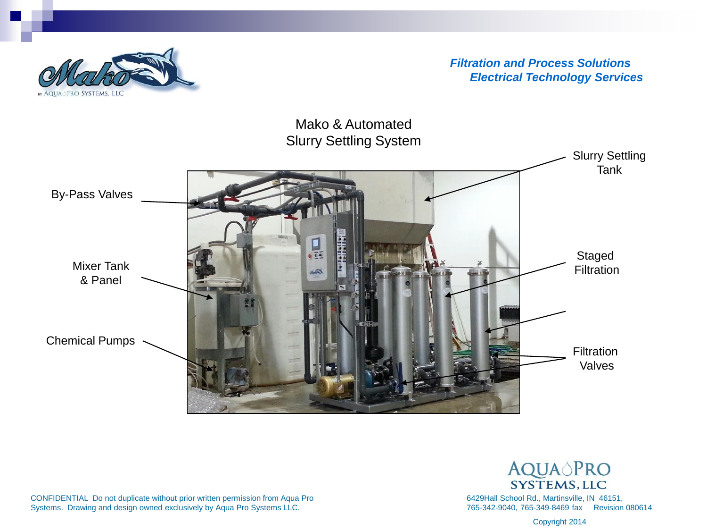

#### *Filtration and Process Solutions Electrical Technology Services*



CONFIDENTIAL Do not duplicate without prior written permission from Aqua Pro Systems. Drawing and design owned exclusively by Aqua Pro Systems LLC.



6429Hall School Rd., Martinsville, IN 46151, 765-342-9040, 765-349-8469 fax Revision 080614

Copyright 2014